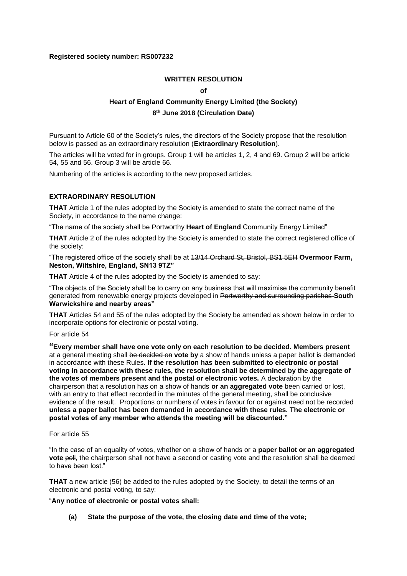## **Registered society number: RS007232**

## **WRITTEN RESOLUTION**

**of**

# **Heart of England Community Energy Limited (the Society) 8 th June 2018 (Circulation Date)**

Pursuant to Article 60 of the Society's rules, the directors of the Society propose that the resolution below is passed as an extraordinary resolution (**Extraordinary Resolution**).

The articles will be voted for in groups. Group 1 will be articles 1, 2, 4 and 69. Group 2 will be article 54, 55 and 56. Group 3 will be article 66.

Numbering of the articles is according to the new proposed articles.

## **EXTRAORDINARY RESOLUTION**

**THAT** Article 1 of the rules adopted by the Society is amended to state the correct name of the Society, in accordance to the name change:

"The name of the society shall be Portworthy **Heart of England** Community Energy Limited"

**THAT** Article 2 of the rules adopted by the Society is amended to state the correct registered office of the society:

"The registered office of the society shall be at 13/14 Orchard St, Bristol, BS1 5EH **Overmoor Farm, Neston, Wiltshire, England, SN13 9TZ"**

**THAT** Article 4 of the rules adopted by the Society is amended to say:

"The objects of the Society shall be to carry on any business that will maximise the community benefit generated from renewable energy projects developed in Portworthy and surrounding parishes **South Warwickshire and nearby areas"**

**THAT** Articles 54 and 55 of the rules adopted by the Society be amended as shown below in order to incorporate options for electronic or postal voting.

#### For article 54

**"Every member shall have one vote only on each resolution to be decided. Members present** at a general meeting shall be decided on **vote by** a show of hands unless a paper ballot is demanded in accordance with these Rules. **If the resolution has been submitted to electronic or postal voting in accordance with these rules, the resolution shall be determined by the aggregate of the votes of members present and the postal or electronic votes.** A declaration by the chairperson that a resolution has on a show of hands **or an aggregated vote** been carried or lost, with an entry to that effect recorded in the minutes of the general meeting, shall be conclusive evidence of the result. Proportions or numbers of votes in favour for or against need not be recorded **unless a paper ballot has been demanded in accordance with these rules. The electronic or postal votes of any member who attends the meeting will be discounted."**

For article 55

"In the case of an equality of votes, whether on a show of hands or a **paper ballot or an aggregated vote** poll, the chairperson shall not have a second or casting vote and the resolution shall be deemed to have been lost."

**THAT** a new article (56) be added to the rules adopted by the Society, to detail the terms of an electronic and postal voting, to say:

#### "**Any notice of electronic or postal votes shall:**

**(a) State the purpose of the vote, the closing date and time of the vote;**